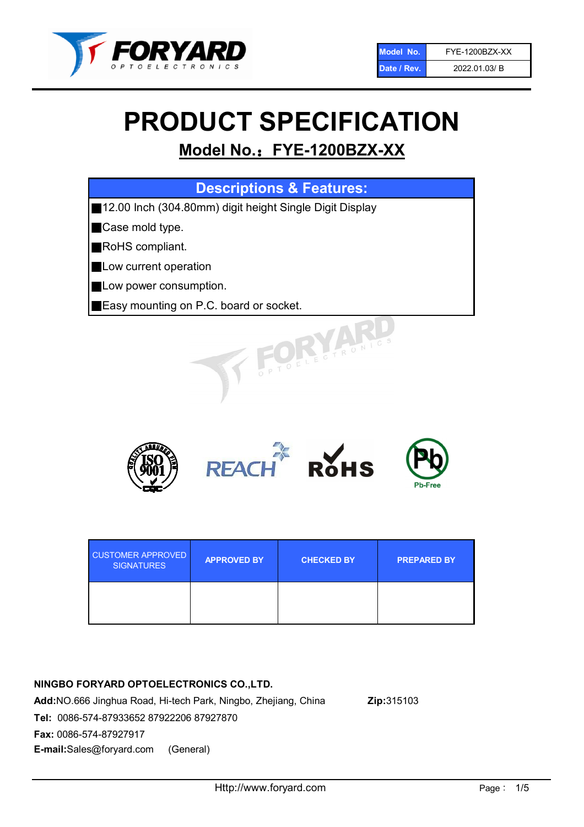

# PRODUCT SPECIFICATION

## Model No.: FYE-1200BZX-XX

## Descriptions & Features:

■12.00 Inch (304.80mm) digit height Single Digit Display

■Case mold type.

■RoHS compliant.

- **Low current operation**
- **Low power consumption.**
- ■Easy mounting on P.C. board or socket.



| <b>CUSTOMER APPROVED</b><br><b>SIGNATURES</b> | <b>APPROVED BY</b> | <b>CHECKED BY</b> | <b>PREPARED BY</b> |
|-----------------------------------------------|--------------------|-------------------|--------------------|
|                                               |                    |                   |                    |

## NINGBO FORYARD OPTOELECTRONICS CO.,LTD.

Add:NO.666 Jinghua Road, Hi-tech Park, Ningbo, Zhejiang, China Zip:315103 Tel: 0086-574-87933652 87922206 87927870 Fax: 0086-574-87927917 E-mail:Sales@foryard.com (General)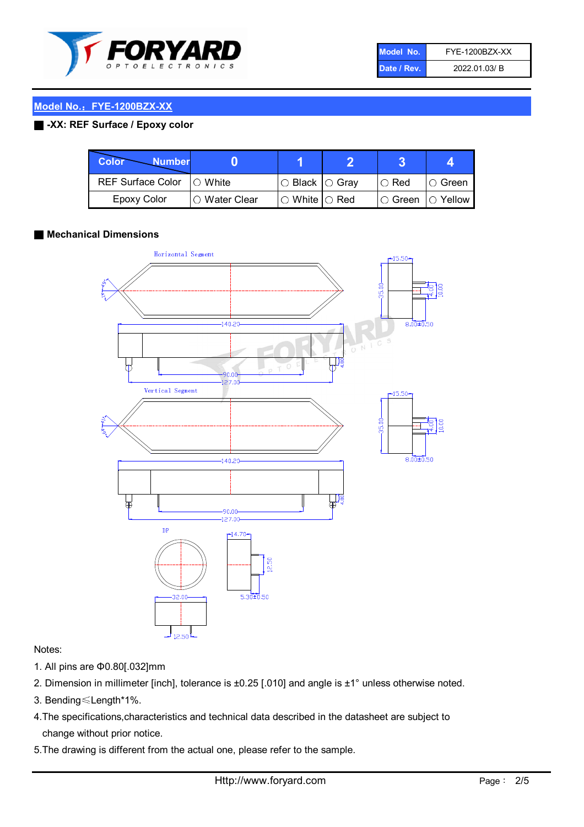

| Model No.   | FYE-1200BZX-XX |
|-------------|----------------|
| Date / Rev. | 2022.01.03/B   |

## Model No.: FYE-1200BZX-XX

## ■ -XX: REF Surface / Epoxy color

| Color<br><b>Number</b>      |                        |                           |             |                |
|-----------------------------|------------------------|---------------------------|-------------|----------------|
| REF Surface Color   O White |                        | l○ Black  ○ Gray          | $\circ$ Red | ∣O Green       |
| Epoxy Color                 | $\bigcirc$ Water Clear | $\circ$ White $\circ$ Red | I⊖ Green    | $\circ$ Yellow |

## ■ Mechanical Dimensions



## Notes:

- 1. All pins are Φ0.80[.032]mm
- 2. Dimension in millimeter [inch], tolerance is ±0.25 [.010] and angle is ±1° unless otherwise noted.
- 3. Bending≤Length\*1%.
- 4.The specifications,characteristics and technical data described in the datasheet are subject to change without prior notice.
- 5.The drawing is different from the actual one, please refer to the sample.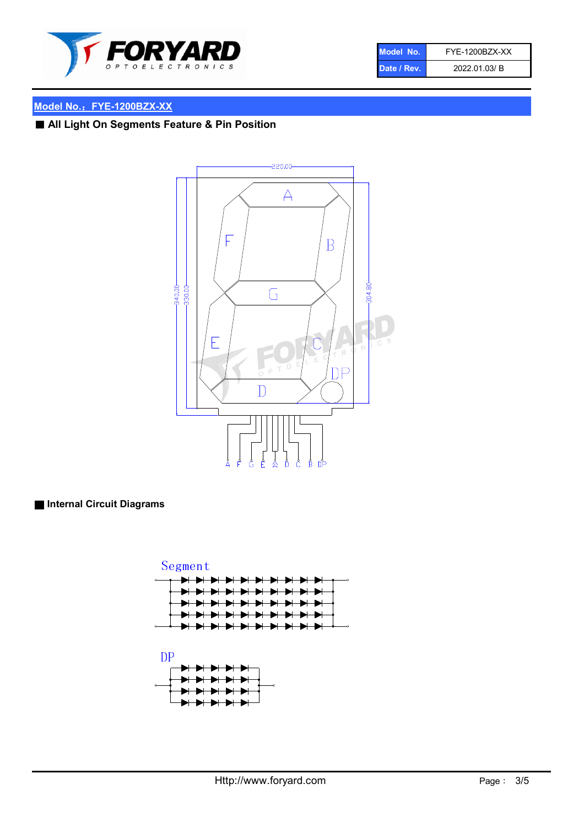

| Model No.   | <b>FYE-1200BZX-XX</b> |
|-------------|-----------------------|
| Date / Rev. | 2022.01.03/B          |

## Model No.: FYE-1200BZX-XX

■ All Light On Segments Feature & Pin Position



■ Internal Circuit Diagrams

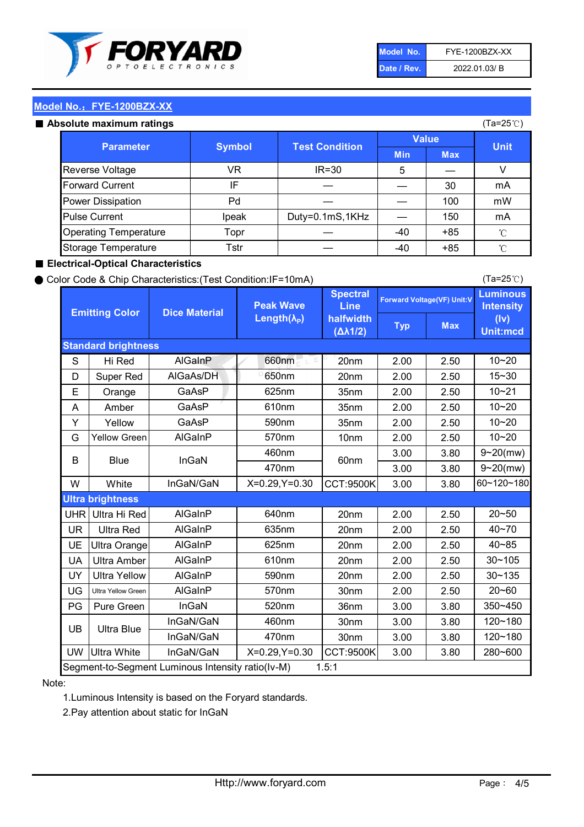

| Model No.   | FYE-1200BZX-XX |
|-------------|----------------|
| Date / Rev. | 2022.01.03/B   |

(Ta=25℃)

## Model No.: FYE-1200BZX-XX

#### Absolute maximum

| solute maximum ratings       |               |                       |              | $(Ta=25^{\circ}C)$ |             |
|------------------------------|---------------|-----------------------|--------------|--------------------|-------------|
| <b>Parameter</b>             | <b>Symbol</b> | <b>Test Condition</b> | <b>Value</b> |                    |             |
|                              |               |                       | <b>Min</b>   | <b>Max</b>         | <b>Unit</b> |
| Reverse Voltage              | VR            | $IR = 30$             | 5            |                    |             |
| <b>Forward Current</b>       | IF            |                       |              | 30                 | mA          |
| Power Dissipation            | Pd            |                       |              | 100                | mW          |
| <b>Pulse Current</b>         | Ipeak         | Duty=0.1mS,1KHz       |              | 150                | mA          |
| <b>Operating Temperature</b> | Topr          |                       | $-40$        | $+85$              | °C          |
| Storage Temperature          | Tstr          |                       | $-40$        | $+85$              | °C          |

### ■ Electrical-Optical Characteristics

#### ● Color Code & Chip Characteristics:(Test Condition:IF=10mA)

Typ Max S | Hi $\textsf{Red}$  | AlGaInP | 660nm LE 20nm | 2.00 | 2.50 D | Super Red | AIGaAs/DH | 650nm | 20nm | 2.00 | 2.50 E | Orange | GaAsP | 625nm | 35nm | 2.00 | 2.50 A | Amber | GaAsP | 610nm | 35nm | 2.00 | 2.50 Y | Yellow | GaAsP | 590nm | 35nm | 2.00 | 2.50 G Yellow Green AIGaInP | 570nm | 10nm | 2.00 | 2.50 3.00 3.80 3.00 3.80 W | White | InGaN/GaN | X=0.29,Y=0.30 |CCT:9500K| 3.00 | 3.80 UHR Ultra Hi Red | AlGaInP | 640nm | 20nm | 2.00 | 2.50 UR | Ultra Red | AlGaInP | 635nm | 20nm | 2.00 | 2.50 UE Ultra Orange | AIGaInP | 625nm | 20nm | 2.00 | 2.50 UA Ultra Amber | AIGaInP | 610nm | 20nm | 2.00 | 2.50  $UV$  Ultra Yellow  $\vert$  AlGaInP  $\vert$  590nm  $\vert$  20nm  $\vert$  2.00  $\vert$  2.50  $\text{UG}$  Ultra Yellow Green | AIGaInP | 570nm | 30nm | 2.00 | 2.50 PG Pure Green | InGaN | 520nm | 36nm | 3.00 | 3.80 30nm 3.00 3.80 30nm 3.00 3.80 UW |Ultra White | InGaN/GaN | X=0.29,Y=0.30 |CCT:9500K| 3.00 | 3.80 10~20 Standard brightness Forward Voltage(VF) Unit:V 15~30 10~20 10~20 625nm GaAsP 590nm **Emitting Color Dice Material** 10~21 610nm Luminous **Intensity** (Iv) Unit:mcd AlGainP 660nm GaAsP GaAsP AlGaAs/DH **Spectral** Line halfwidth (∆λ1/2) Peak Wave Length $(\lambda_{\rm P})$ UB 460nm 635nm AlGaInP AlGaInP AlGaInP InGaN/GaN AlGaInP | 570nm | 10nm | 2.00 | 2.50 | 10~20 30~105 30~135 460nm 520nm Ultra brightness **AlGaInP** AlGaInP 60nm AlGaInP 640nm Segment-to-Segment Luminous Intensity ratio(Iv-M) 1.5:1 610nm 9~20(mw) 350~450 470nm 120~180 120~180 Ultra Blue InGaN/GaN InGaN/GaN 9~20(mw) 20~50 280~600 570nm | 30nm | 2.00 | 2.50 | 20~60 470nm 590nm InGaN/GaN B Blue I InGaN 40~85 60~120~180 40~70

## Note:

1.Luminous Intensity is based on the Foryard standards.

2.Pay attention about static for InGaN